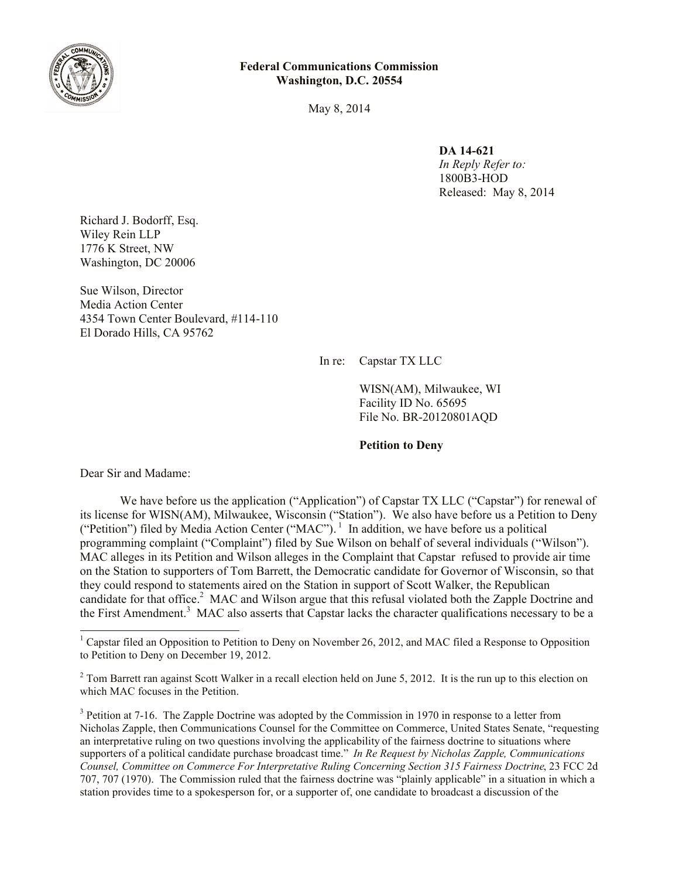

May 8, 2014

**DA 14-621**

*In Reply Refer to:* 1800B3-HOD Released:May 8, 2014

Richard J. Bodorff, Esq. Wiley Rein LLP 1776 K Street, NW Washington, DC 20006

Sue Wilson, Director Media Action Center 4354 Town Center Boulevard, #114-110 El Dorado Hills, CA 95762

In re: Capstar TX LLC

WISN(AM), Milwaukee, WI Facility ID No. 65695 File No. BR-20120801AQD

**Petition to Deny**

Dear Sir and Madame:

 $\overline{\phantom{a}}$ 

We have before us the application ("Application") of Capstar TX LLC ("Capstar") for renewal of its license for WISN(AM), Milwaukee, Wisconsin ("Station"). We also have before us a Petition to Deny ("Petition") filed by Media Action Center ("MAC").<sup>1</sup> In addition, we have before us a political programming complaint ("Complaint") filed by Sue Wilson on behalf of several individuals ("Wilson"). MAC alleges in its Petition and Wilson alleges in the Complaint that Capstar refused to provide air time on the Station to supporters of Tom Barrett, the Democratic candidate for Governor of Wisconsin, so that they could respond to statements aired on the Station in support of Scott Walker, the Republican candidate for that office.<sup>2</sup> MAC and Wilson argue that this refusal violated both the Zapple Doctrine and the First Amendment.<sup>3</sup> MAC also asserts that Capstar lacks the character qualifications necessary to be a

<sup>&</sup>lt;sup>1</sup> Capstar filed an Opposition to Petition to Deny on November 26, 2012, and MAC filed a Response to Opposition to Petition to Deny on December 19, 2012.

 $2$  Tom Barrett ran against Scott Walker in a recall election held on June 5, 2012. It is the run up to this election on which MAC focuses in the Petition.

 $3$  Petition at 7-16. The Zapple Doctrine was adopted by the Commission in 1970 in response to a letter from Nicholas Zapple, then Communications Counsel for the Committee on Commerce, United States Senate, "requesting an interpretative ruling on two questions involving the applicability of the fairness doctrine to situations where supporters of a political candidate purchase broadcast time." *In Re Request by Nicholas Zapple, Communications Counsel, Committee on Commerce For Interpretative Ruling Concerning Section 315 Fairness Doctrine*, 23 FCC 2d 707, 707 (1970). The Commission ruled that the fairness doctrine was "plainly applicable" in a situation in which a station provides time to a spokesperson for, or a supporter of, one candidate to broadcast a discussion of the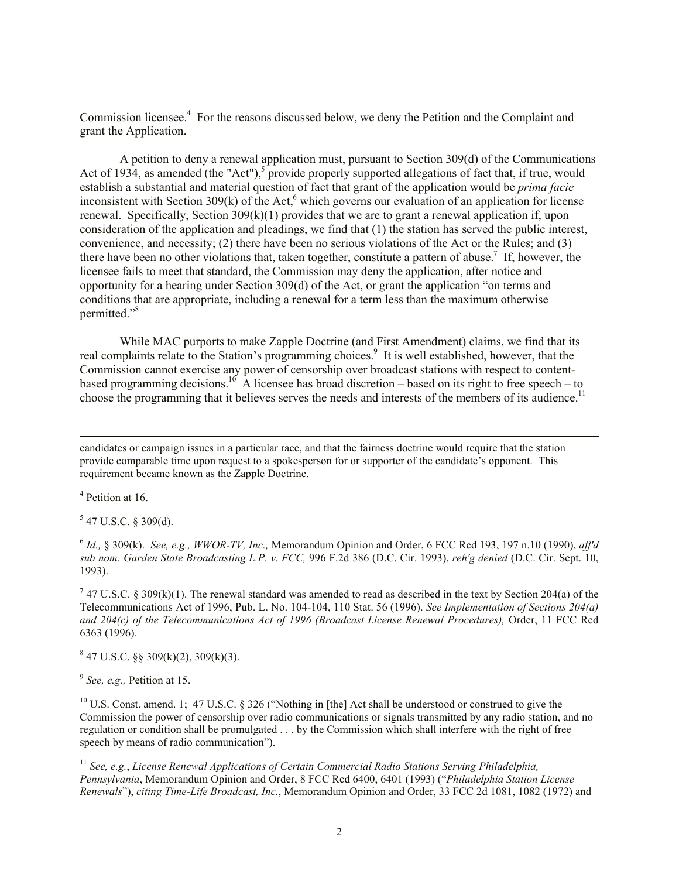Commission licensee.<sup>4</sup> For the reasons discussed below, we deny the Petition and the Complaint and grant the Application.

A petition to deny a renewal application must, pursuant to Section 309(d) of the Communications Act of 1934, as amended (the "Act"),<sup>5</sup> provide properly supported allegations of fact that, if true, would establish a substantial and material question of fact that grant of the application would be *prima facie* inconsistent with Section 309(k) of the Act,<sup>6</sup> which governs our evaluation of an application for license renewal. Specifically, Section  $309(k)(1)$  provides that we are to grant a renewal application if, upon consideration of the application and pleadings, we find that (1) the station has served the public interest, convenience, and necessity; (2) there have been no serious violations of the Act or the Rules; and (3) there have been no other violations that, taken together, constitute a pattern of abuse.<sup>7</sup> If, however, the licensee fails to meet that standard, the Commission may deny the application, after notice and opportunity for a hearing under Section 309(d) of the Act, or grant the application "on terms and conditions that are appropriate, including a renewal for a term less than the maximum otherwise permitted." 8

While MAC purports to make Zapple Doctrine (and First Amendment) claims, we find that its real complaints relate to the Station's programming choices.<sup>9</sup> It is well established, however, that the Commission cannot exercise any power of censorship over broadcast stations with respect to contentbased programming decisions.<sup>10</sup> A licensee has broad discretion – based on its right to free speech – to choose the programming that it believes serves the needs and interests of the members of its audience.<sup>11</sup>

candidates or campaign issues in a particular race, and that the fairness doctrine would require that the station provide comparable time upon request to a spokesperson for or supporter of the candidate's opponent. This requirement became known as the Zapple Doctrine.

4 Petition at 16.

 $\overline{\phantom{a}}$ 

 $5$  47 U.S.C. § 309(d).

6 *Id.,* § 309(k). *See, e.g., WWOR-TV, Inc.,* Memorandum Opinion and Order, 6 FCC Rcd 193, 197 n.10 (1990), *aff'd sub nom. Garden State Broadcasting L.P. v. FCC,* 996 F.2d 386 (D.C. Cir. 1993), *reh'g denied* (D.C. Cir. Sept. 10, 1993).

<sup>7</sup> 47 U.S.C. § 309(k)(1). The renewal standard was amended to read as described in the text by Section 204(a) of the Telecommunications Act of 1996, Pub. L. No. 104-104, 110 Stat. 56 (1996). *See Implementation of Sections 204(a) and 204(c) of the Telecommunications Act of 1996 (Broadcast License Renewal Procedures),* Order, 11 FCC Rcd 6363 (1996).

 $847$  U.S.C. §§ 309(k)(2), 309(k)(3).

9 *See, e.g.,* Petition at 15.

<sup>10</sup> U.S. Const. amend. 1; 47 U.S.C. § 326 ("Nothing in [the] Act shall be understood or construed to give the Commission the power of censorship over radio communications or signals transmitted by any radio station, and no regulation or condition shall be promulgated . . . by the Commission which shall interfere with the right of free speech by means of radio communication").

<sup>11</sup> *See, e.g.*, *License Renewal Applications of Certain Commercial Radio Stations Serving Philadelphia, Pennsylvania*, Memorandum Opinion and Order, 8 FCC Rcd 6400, 6401 (1993) ("*Philadelphia Station License Renewals*"), *citing Time-Life Broadcast, Inc.*, Memorandum Opinion and Order, 33 FCC 2d 1081, 1082 (1972) and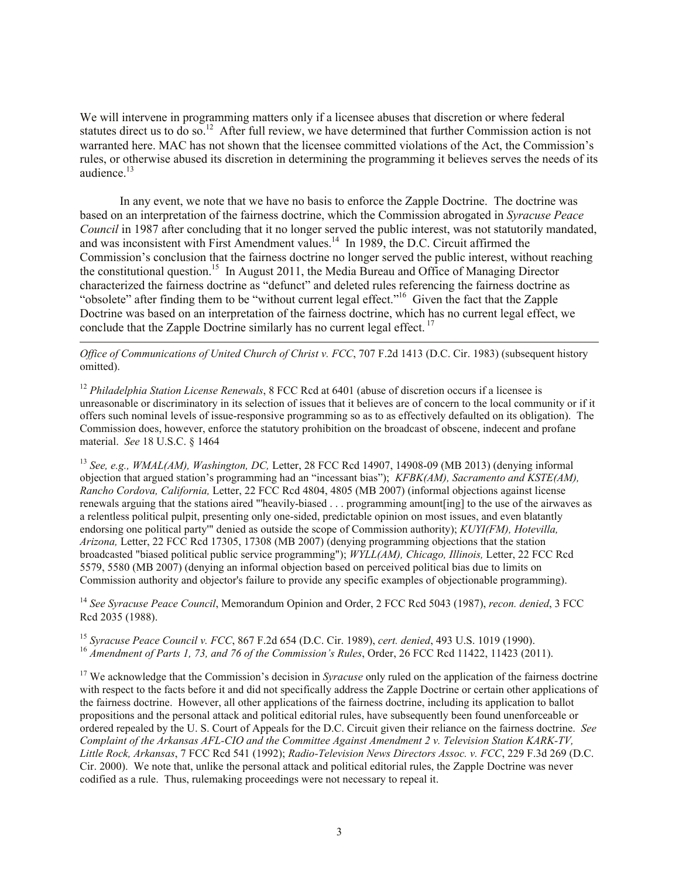We will intervene in programming matters only if a licensee abuses that discretion or where federal statutes direct us to do so.<sup>12</sup> After full review, we have determined that further Commission action is not warranted here. MAC has not shown that the licensee committed violations of the Act, the Commission's rules, or otherwise abused its discretion in determining the programming it believes serves the needs of its audience.<sup>13</sup>

In any event, we note that we have no basis to enforce the Zapple Doctrine. The doctrine was based on an interpretation of the fairness doctrine, which the Commission abrogated in *Syracuse Peace Council* in 1987 after concluding that it no longer served the public interest, was not statutorily mandated, and was inconsistent with First Amendment values.<sup>14</sup> In 1989, the D.C. Circuit affirmed the Commission's conclusion that the fairness doctrine no longer served the public interest, without reaching the constitutional question.<sup>15</sup> In August 2011, the Media Bureau and Office of Managing Director characterized the fairness doctrine as "defunct" and deleted rules referencing the fairness doctrine as "obsolete" after finding them to be "without current legal effect."<sup>16</sup> Given the fact that the Zapple Doctrine was based on an interpretation of the fairness doctrine, which has no current legal effect, we conclude that the Zapple Doctrine similarly has no current legal effect.<sup>17</sup>

*Office of Communications of United Church of Christ v. FCC*, 707 F.2d 1413 (D.C. Cir. 1983) (subsequent history omitted).

 $\overline{a}$ 

<sup>12</sup> *Philadelphia Station License Renewals*, 8 FCC Rcd at 6401 (abuse of discretion occurs if a licensee is unreasonable or discriminatory in its selection of issues that it believes are of concern to the local community or if it offers such nominal levels of issue-responsive programming so as to as effectively defaulted on its obligation). The Commission does, however, enforce the statutory prohibition on the broadcast of obscene, indecent and profane material. *See* 18 U.S.C. § 1464

<sup>13</sup> *See, e.g., WMAL(AM), Washington, DC,* Letter, 28 FCC Rcd 14907, 14908-09 (MB 2013) (denying informal objection that argued station's programming had an "incessant bias"); *KFBK(AM), Sacramento and KSTE(AM), Rancho Cordova, California,* Letter, 22 FCC Rcd 4804, 4805 (MB 2007) (informal objections against license renewals arguing that the stations aired "'heavily-biased . . . programming amount[ing] to the use of the airwaves as a relentless political pulpit, presenting only one-sided, predictable opinion on most issues, and even blatantly endorsing one political party'" denied as outside the scope of Commission authority); *KUYI(FM), Hotevilla, Arizona,* Letter, 22 FCC Rcd 17305, 17308 (MB 2007) (denying programming objections that the station broadcasted "biased political public service programming"); *WYLL(AM), Chicago, Illinois,* Letter, 22 FCC Rcd 5579, 5580 (MB 2007) (denying an informal objection based on perceived political bias due to limits on Commission authority and objector's failure to provide any specific examples of objectionable programming).

<sup>14</sup> *See Syracuse Peace Council*, Memorandum Opinion and Order, 2 FCC Rcd 5043 (1987), *recon. denied*, 3 FCC Rcd 2035 (1988).

<sup>15</sup> *Syracuse Peace Council v. FCC*, 867 F.2d 654 (D.C. Cir. 1989), *cert. denied*, 493 U.S. 1019 (1990). <sup>16</sup> Amendment of Parts 1, 73, and 76 of the Commission's Rules, Order, 26 FCC Rcd 11422, 11423 (2011).

<sup>17</sup> We acknowledge that the Commission's decision in *Syracuse* only ruled on the application of the fairness doctrine with respect to the facts before it and did not specifically address the Zapple Doctrine or certain other applications of the fairness doctrine. However, all other applications of the fairness doctrine, including its application to ballot propositions and the personal attack and political editorial rules, have subsequently been found unenforceable or ordered repealed by the U. S. Court of Appeals for the D.C. Circuit given their reliance on the fairness doctrine. *See Complaint of the Arkansas AFL-CIO and the Committee Against Amendment 2 v. Television Station KARK-TV, Little Rock, Arkansas*, 7 FCC Rcd 541 (1992); *Radio-Television News Directors Assoc. v. FCC*, 229 F.3d 269 (D.C. Cir. 2000). We note that, unlike the personal attack and political editorial rules, the Zapple Doctrine was never codified as a rule. Thus, rulemaking proceedings were not necessary to repeal it.